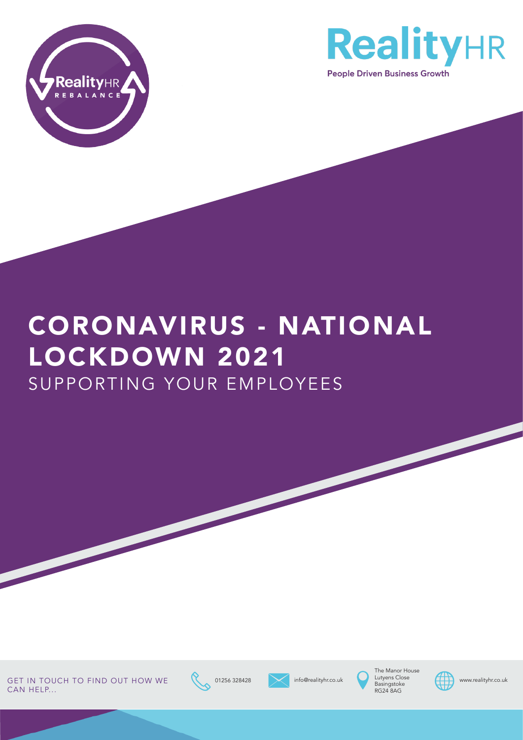



# CORONAVIRUS - NATIONAL LOCKDOWN 2021 SUPPORTING YOUR EMPLOYEES

GET IN TOUCH TO FIND OUT HOW WE 01256 328428 info@realityhr.co.uk unter alityhr.co.uk www.realityhr.co.uk CAN HELP...





info@realityhr.co.uk



he Manor Hous Lutyens Close Basingstoke RG24 8AG

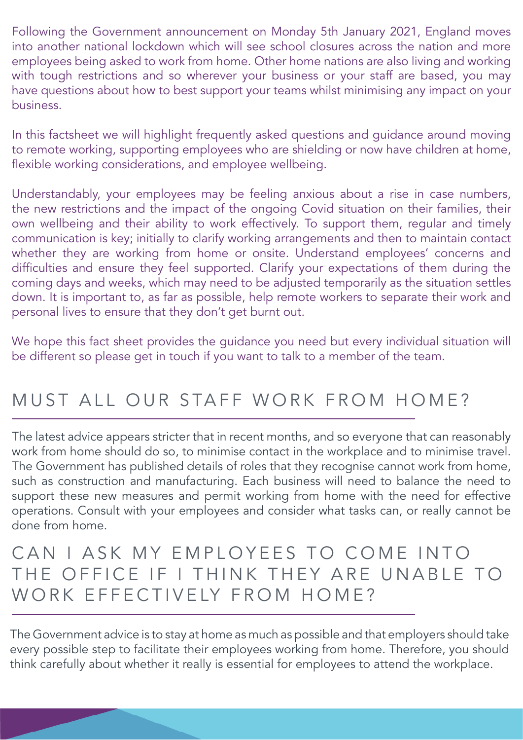Following the Government announcement on Monday 5th January 2021, England moves into another national lockdown which will see school closures across the nation and more employees being asked to work from home. Other home nations are also living and working with tough restrictions and so wherever your business or your staff are based, you may have questions about how to best support your teams whilst minimising any impact on your business.

In this factsheet we will highlight frequently asked questions and guidance around moving to remote working, supporting employees who are shielding or now have children at home, flexible working considerations, and employee wellbeing.

Understandably, your employees may be feeling anxious about a rise in case numbers, the new restrictions and the impact of the ongoing Covid situation on their families, their own wellbeing and their ability to work effectively. To support them, regular and timely communication is key; initially to clarify working arrangements and then to maintain contact whether they are working from home or onsite. Understand employees' concerns and difficulties and ensure they feel supported. Clarify your expectations of them during the coming days and weeks, which may need to be adjusted temporarily as the situation settles down. It is important to, as far as possible, help remote workers to separate their work and personal lives to ensure that they don't get burnt out.

We hope this fact sheet provides the guidance you need but every individual situation will be different so please get in touch if you want to talk to a member of the team.

## MUST ALL OUR STAFF WORK FROM HOME?

The latest advice appears stricter that in recent months, and so everyone that can reasonably work from home should do so, to minimise contact in the workplace and to minimise travel. The Government has published details of roles that they recognise cannot work from home, such as construction and manufacturing. Each business will need to balance the need to support these new measures and permit working from home with the need for effective operations. Consult with your employees and consider what tasks can, or really cannot be done from home.

#### CAN I ASK MY EMPLOYEES TO COME INTO THE OFFICE IF I THINK THEY ARE UNABLE TO WORK EFFECTIVELY FROM HOME?

The Government advice is to stay at home as much as possible and that employers should take every possible step to facilitate their employees working from home. Therefore, you should think carefully about whether it really is essential for employees to attend the workplace.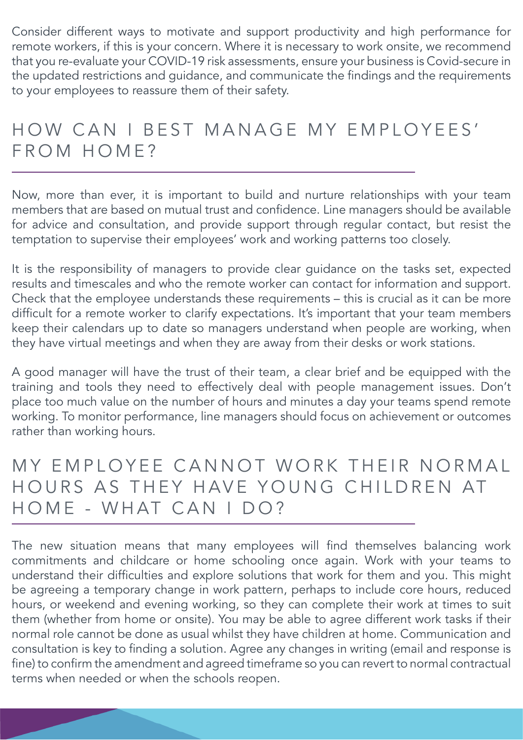Consider different ways to motivate and support productivity and high performance for remote workers, if this is your concern. Where it is necessary to work onsite, we recommend that you re-evaluate your COVID-19 risk assessments, ensure your business is Covid-secure in the updated restrictions and guidance, and communicate the findings and the requirements to your employees to reassure them of their safety.

## HOW CAN I BEST MANAGE MY EMPLOYEES' FROM HOME?

Now, more than ever, it is important to build and nurture relationships with your team members that are based on mutual trust and confidence. Line managers should be available for advice and consultation, and provide support through regular contact, but resist the temptation to supervise their employees' work and working patterns too closely.

It is the responsibility of managers to provide clear guidance on the tasks set, expected results and timescales and who the remote worker can contact for information and support. Check that the employee understands these requirements – this is crucial as it can be more difficult for a remote worker to clarify expectations. It's important that your team members keep their calendars up to date so managers understand when people are working, when they have virtual meetings and when they are away from their desks or work stations.

A good manager will have the trust of their team, a clear brief and be equipped with the training and tools they need to effectively deal with people management issues. Don't place too much value on the number of hours and minutes a day your teams spend remote working. To monitor performance, line managers should focus on achievement or outcomes rather than working hours.

#### MY EMPLOYEE CANNOT WORK THEIR NORMAL HOURS AS THEY HAVE YOUNG CHILDREN AT HOME - WHAT CAN I DO?

The new situation means that many employees will find themselves balancing work commitments and childcare or home schooling once again. Work with your teams to understand their difficulties and explore solutions that work for them and you. This might be agreeing a temporary change in work pattern, perhaps to include core hours, reduced hours, or weekend and evening working, so they can complete their work at times to suit them (whether from home or onsite). You may be able to agree different work tasks if their normal role cannot be done as usual whilst they have children at home. Communication and consultation is key to finding a solution. Agree any changes in writing (email and response is fine) to confirm the amendment and agreed timeframe so you can revert to normal contractual terms when needed or when the schools reopen.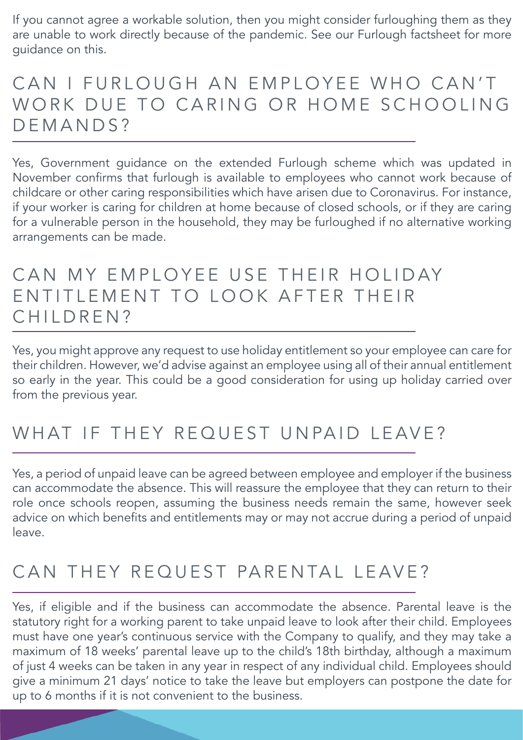If you cannot agree a workable solution, then you might consider furloughing them as they are unable to work directly because of the pandemic. See our Furlough factsheet for more guidance on this.

## CAN I FURLOUGH AN EMPLOYEE WHO CAN'T WORK DUE TO CARING OR HOME SCHOOLING DEMANDS?

Yes, Government guidance on the extended Furlough scheme which was updated in November confirms that furlough is available to employees who cannot work because of childcare or other caring responsibilities which have arisen due to Coronavirus. For instance, if your worker is caring for children at home because of closed schools, or if they are caring for a vulnerable person in the household, they may be furloughed if no alternative working arrangements can be made.

#### CAN MY EMPLOYEE USE THEIR HOLIDAY EN TITLEMENT TO LOOK AFTER THEIR CHILDREN?

Yes, you might approve any request to use holiday entitlement so your employee can care for their children. However, we'd advise against an employee using all of their annual entitlement so early in the year. This could be a good consideration for using up holiday carried over from the previous year.

## WHAT IF THEY REQUEST UNPAID LEAVE?

Yes, a period of unpaid leave can be agreed between employee and employer if the business can accommodate the absence. This will reassure the employee that they can return to their role once schools reopen, assuming the business needs remain the same, however seek advice on which benefits and entitlements may or may not accrue during a period of unpaid leave.

# CAN THEY REQUEST PARENTAL LEAVE?

Yes, if eligible and if the business can accommodate the absence. Parental leave is the statutory right for a working parent to take unpaid leave to look after their child. Employees must have one year's continuous service with the Company to qualify, and they may take a maximum of 18 weeks' parental leave up to the child's 18th birthday, although a maximum of just 4 weeks can be taken in any year in respect of any individual child. Employees should give a minimum 21 days' notice to take the leave but employers can postpone the date for up to 6 months if it is not convenient to the business.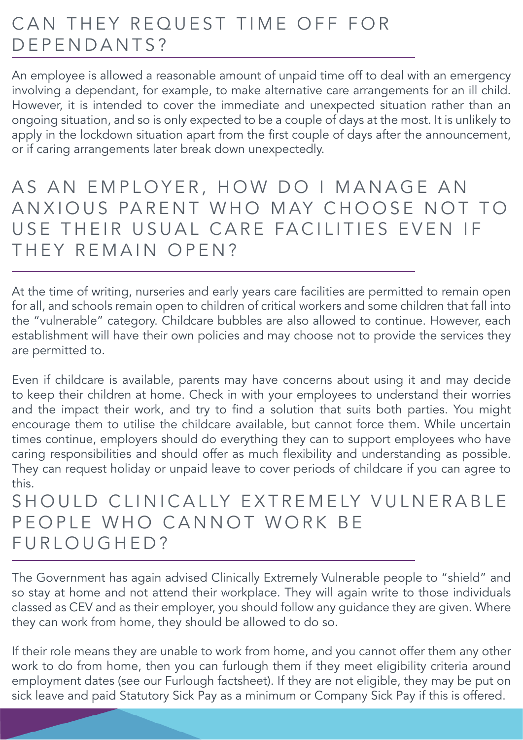## CAN THEY REQUEST TIME OFF FOR DEPENDANTS?

An employee is allowed a reasonable amount of unpaid time off to deal with an emergency involving a dependant, for example, to make alternative care arrangements for an ill child. However, it is intended to cover the immediate and unexpected situation rather than an ongoing situation, and so is only expected to be a couple of days at the most. It is unlikely to apply in the lockdown situation apart from the first couple of days after the announcement, or if caring arrangements later break down unexpectedly.

AS AN EMPLOYER, HOW DO I MANAGE AN ANXIOUS PARENT WHO MAY CHOOSE NOT TO USE THEIR USUAL CARE FACILITIES EVEN IF THEY REMAIN OPEN?

At the time of writing, nurseries and early years care facilities are permitted to remain open for all, and schools remain open to children of critical workers and some children that fall into the "vulnerable" category. Childcare bubbles are also allowed to continue. However, each establishment will have their own policies and may choose not to provide the services they are permitted to.

Even if childcare is available, parents may have concerns about using it and may decide to keep their children at home. Check in with your employees to understand their worries and the impact their work, and try to find a solution that suits both parties. You might encourage them to utilise the childcare available, but cannot force them. While uncertain times continue, employers should do everything they can to support employees who have caring responsibilities and should offer as much flexibility and understanding as possible. They can request holiday or unpaid leave to cover periods of childcare if you can agree to this.

#### SHOULD CLINICALLY EXTREMELY VULNERABLE PEOPLE WHO CANNOT WORK BE FURLOUGHED?

The Government has again advised Clinically Extremely Vulnerable people to "shield" and so stay at home and not attend their workplace. They will again write to those individuals classed as CEV and as their employer, you should follow any guidance they are given. Where they can work from home, they should be allowed to do so.

If their role means they are unable to work from home, and you cannot offer them any other work to do from home, then you can furlough them if they meet eligibility criteria around employment dates (see our Furlough factsheet). If they are not eligible, they may be put on sick leave and paid Statutory Sick Pay as a minimum or Company Sick Pay if this is offered.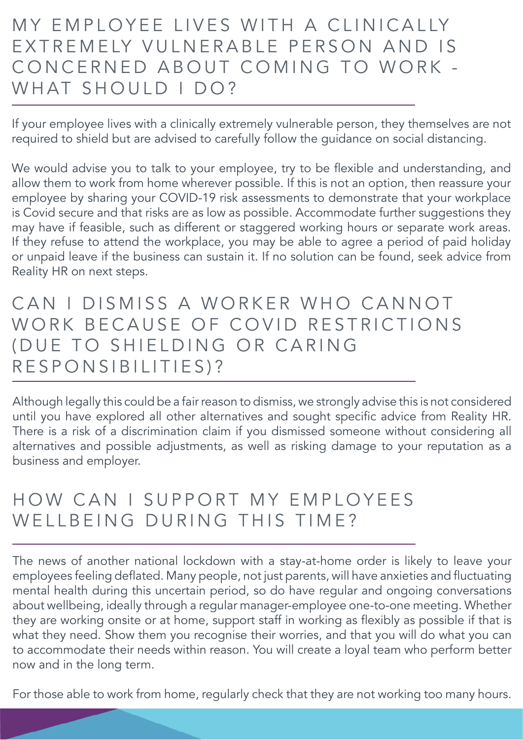## MY EMPLOYEE LIVES WITH A CLINICALLY EXTREMELY VULNERABLE PERSON AND IS CONCERNED ABOUT COMING TO WORK -WHAT SHOULD I DO?

If your employee lives with a clinically extremely vulnerable person, they themselves are not required to shield but are advised to carefully follow the guidance on social distancing.

We would advise you to talk to your employee, try to be flexible and understanding, and allow them to work from home wherever possible. If this is not an option, then reassure your employee by sharing your COVID-19 risk assessments to demonstrate that your workplace is Covid secure and that risks are as low as possible. Accommodate further suggestions they may have if feasible, such as different or staggered working hours or separate work areas. If they refuse to attend the workplace, you may be able to agree a period of paid holiday or unpaid leave if the business can sustain it. If no solution can be found, seek advice from Reality HR on next steps.

#### CAN I DISMISS A WORKER WHO CANNOT WORK BECAUSE OF COVID RESTRICTIONS (DUE TO SHIELDING OR CARING RESPONSIBILITIES)?

Although legally this could be a fair reason to dismiss, we strongly advise this is not considered until you have explored all other alternatives and sought specific advice from Reality HR. There is a risk of a discrimination claim if you dismissed someone without considering all alternatives and possible adjustments, as well as risking damage to your reputation as a business and employer.

## HOW CAN I SUPPORT MY EMPLOYEES WELLBEING DURING THIS TIME?

The news of another national lockdown with a stay-at-home order is likely to leave your employees feeling deflated. Many people, not just parents, will have anxieties and fluctuating mental health during this uncertain period, so do have regular and ongoing conversations about wellbeing, ideally through a regular manager-employee one-to-one meeting. Whether they are working onsite or at home, support staff in working as flexibly as possible if that is what they need. Show them you recognise their worries, and that you will do what you can to accommodate their needs within reason. You will create a loyal team who perform better now and in the long term.

For those able to work from home, regularly check that they are not working too many hours.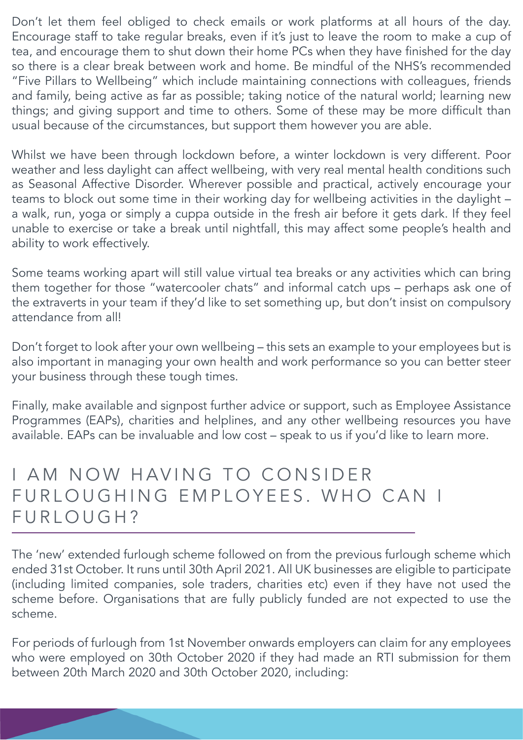Don't let them feel obliged to check emails or work platforms at all hours of the day. Encourage staff to take regular breaks, even if it's just to leave the room to make a cup of tea, and encourage them to shut down their home PCs when they have finished for the day so there is a clear break between work and home. Be mindful of the NHS's recommended "Five Pillars to Wellbeing" which include maintaining connections with colleagues, friends and family, being active as far as possible; taking notice of the natural world; learning new things; and giving support and time to others. Some of these may be more difficult than usual because of the circumstances, but support them however you are able.

Whilst we have been through lockdown before, a winter lockdown is very different. Poor weather and less daylight can affect wellbeing, with very real mental health conditions such as Seasonal Affective Disorder. Wherever possible and practical, actively encourage your teams to block out some time in their working day for wellbeing activities in the daylight – a walk, run, yoga or simply a cuppa outside in the fresh air before it gets dark. If they feel unable to exercise or take a break until nightfall, this may affect some people's health and ability to work effectively.

Some teams working apart will still value virtual tea breaks or any activities which can bring them together for those "watercooler chats" and informal catch ups – perhaps ask one of the extraverts in your team if they'd like to set something up, but don't insist on compulsory attendance from all!

Don't forget to look after your own wellbeing – this sets an example to your employees but is also important in managing your own health and work performance so you can better steer your business through these tough times.

Finally, make available and signpost further advice or support, such as Employee Assistance Programmes (EAPs), charities and helplines, and any other wellbeing resources you have available. EAPs can be invaluable and low cost – speak to us if you'd like to learn more.

#### I AM NOW HAVING TO CONSIDER FURLOUGHING EMPLOYEES. WHO CAN I FURLOUGH?

The 'new' extended furlough scheme followed on from the previous furlough scheme which ended 31st October. It runs until 30th April 2021. All UK businesses are eligible to participate (including limited companies, sole traders, charities etc) even if they have not used the scheme before. Organisations that are fully publicly funded are not expected to use the scheme.

For periods of furlough from 1st November onwards employers can claim for any employees who were employed on 30th October 2020 if they had made an RTI submission for them between 20th March 2020 and 30th October 2020, including: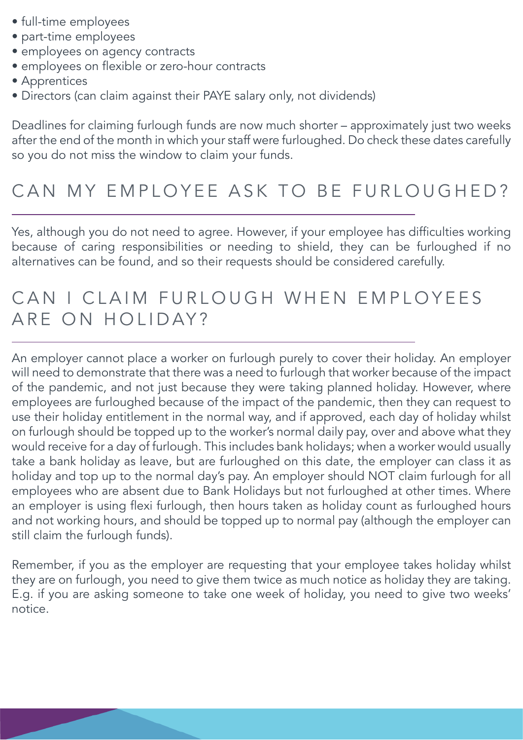- full-time employees
- part-time employees
- employees on agency contracts
- employees on flexible or zero-hour contracts
- Apprentices
- Directors (can claim against their PAYE salary only, not dividends)

Deadlines for claiming furlough funds are now much shorter – approximately just two weeks after the end of the month in which your staff were furloughed. Do check these dates carefully so you do not miss the window to claim your funds.

## CAN MY EMPLOYEE ASK TO BE FURLOUGHED?

Yes, although you do not need to agree. However, if your employee has difficulties working because of caring responsibilities or needing to shield, they can be furloughed if no alternatives can be found, and so their requests should be considered carefully.

#### CAN I CLAIM FURLOUGH WHEN EMPLOYEES ARE ON HOLIDAY?

An employer cannot place a worker on furlough purely to cover their holiday. An employer will need to demonstrate that there was a need to furlough that worker because of the impact of the pandemic, and not just because they were taking planned holiday. However, where employees are furloughed because of the impact of the pandemic, then they can request to use their holiday entitlement in the normal way, and if approved, each day of holiday whilst on furlough should be topped up to the worker's normal daily pay, over and above what they would receive for a day of furlough. This includes bank holidays; when a worker would usually take a bank holiday as leave, but are furloughed on this date, the employer can class it as holiday and top up to the normal day's pay. An employer should NOT claim furlough for all employees who are absent due to Bank Holidays but not furloughed at other times. Where an employer is using flexi furlough, then hours taken as holiday count as furloughed hours and not working hours, and should be topped up to normal pay (although the employer can still claim the furlough funds).

Remember, if you as the employer are requesting that your employee takes holiday whilst they are on furlough, you need to give them twice as much notice as holiday they are taking. E.g. if you are asking someone to take one week of holiday, you need to give two weeks' notice.